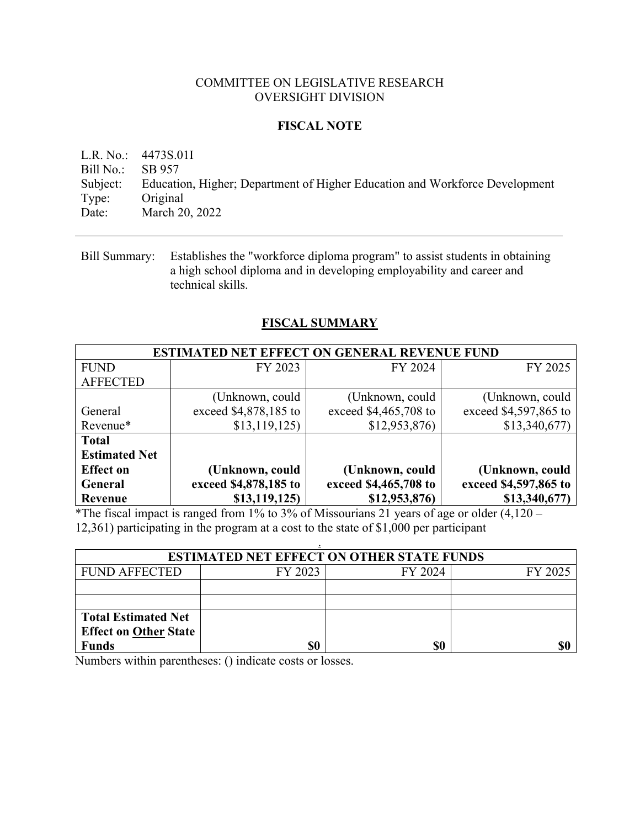#### COMMITTEE ON LEGISLATIVE RESEARCH OVERSIGHT DIVISION

### **FISCAL NOTE**

L.R. No.: 4473S.01I Bill No.: SB 957 Subject: Education, Higher; Department of Higher Education and Workforce Development Type: Original Date: March 20, 2022

Bill Summary: Establishes the "workforce diploma program" to assist students in obtaining a high school diploma and in developing employability and career and technical skills.

## **FISCAL SUMMARY**

| <b>ESTIMATED NET EFFECT ON GENERAL REVENUE FUND</b> |                       |                       |                       |  |
|-----------------------------------------------------|-----------------------|-----------------------|-----------------------|--|
| <b>FUND</b>                                         | FY 2023               | FY 2024               | FY 2025               |  |
| <b>AFFECTED</b>                                     |                       |                       |                       |  |
|                                                     | (Unknown, could       | (Unknown, could       | (Unknown, could       |  |
| General                                             | exceed \$4,878,185 to | exceed \$4,465,708 to | exceed \$4,597,865 to |  |
| Revenue*                                            | \$13,119,125          | \$12,953,876          | \$13,340,677          |  |
| <b>Total</b>                                        |                       |                       |                       |  |
| <b>Estimated Net</b>                                |                       |                       |                       |  |
| <b>Effect on</b>                                    | (Unknown, could       | (Unknown, could       | (Unknown, could       |  |
| <b>General</b>                                      | exceed \$4,878,185 to | exceed \$4,465,708 to | exceed \$4,597,865 to |  |
| Revenue                                             | \$13,119,125          | \$12,953,876)         | \$13,340,677)         |  |

\*The fiscal impact is ranged from 1% to 3% of Missourians 21 years of age or older  $(4,120 -$ 12,361) participating in the program at a cost to the state of \$1,000 per participant

| <b>ESTIMATED NET EFFECT ON OTHER STATE FUNDS</b> |         |         |         |  |  |  |
|--------------------------------------------------|---------|---------|---------|--|--|--|
| <b>FUND AFFECTED</b>                             | FY 2023 | FY 2024 | FY 2025 |  |  |  |
|                                                  |         |         |         |  |  |  |
|                                                  |         |         |         |  |  |  |
| <b>Total Estimated Net</b>                       |         |         |         |  |  |  |
| <b>Effect on Other State</b>                     |         |         |         |  |  |  |
| <b>Funds</b>                                     |         | \$0     |         |  |  |  |

Numbers within parentheses: () indicate costs or losses.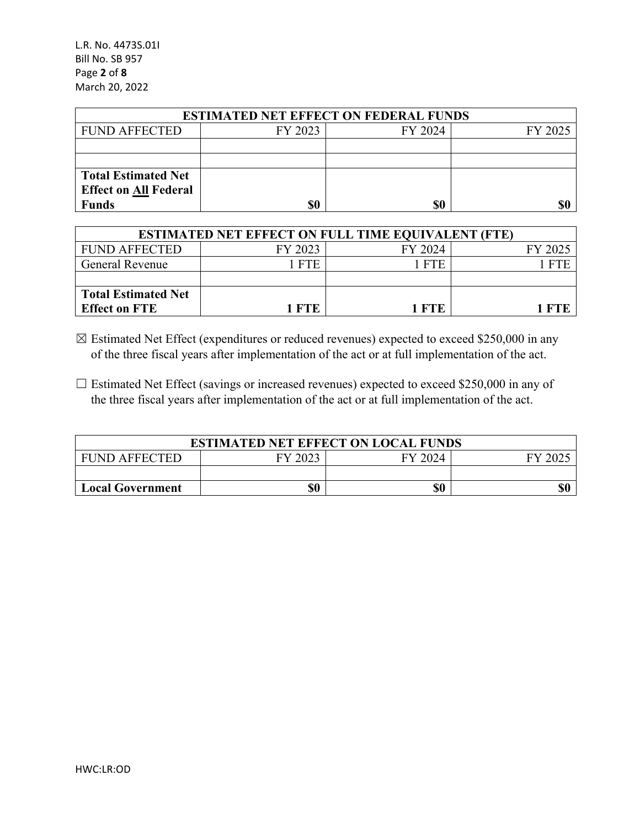L.R. No. 4473S.01I Bill No. SB 957 Page **2** of **8** March 20, 2022

| <b>ESTIMATED NET EFFECT ON FEDERAL FUNDS</b> |         |         |         |  |  |  |
|----------------------------------------------|---------|---------|---------|--|--|--|
| <b>FUND AFFECTED</b>                         | FY 2023 | FY 2024 | FY 2025 |  |  |  |
|                                              |         |         |         |  |  |  |
|                                              |         |         |         |  |  |  |
| <b>Total Estimated Net</b>                   |         |         |         |  |  |  |
| <b>Effect on All Federal</b>                 |         |         |         |  |  |  |
| <b>Funds</b>                                 | \$0     | \$0     | \$0     |  |  |  |

| <b>ESTIMATED NET EFFECT ON FULL TIME EQUIVALENT (FTE)</b> |         |         |         |  |  |
|-----------------------------------------------------------|---------|---------|---------|--|--|
| <b>FUND AFFECTED</b>                                      | FY 2023 | FY 2024 | FY 2025 |  |  |
| <b>General Revenue</b>                                    | 1 FTE   | 1 FTE   | - FTE   |  |  |
|                                                           |         |         |         |  |  |
| <b>Total Estimated Net</b>                                |         |         |         |  |  |
| <b>Effect on FTE</b>                                      | 1 FTE   | 1 FTE   |         |  |  |

 $\boxtimes$  Estimated Net Effect (expenditures or reduced revenues) expected to exceed \$250,000 in any of the three fiscal years after implementation of the act or at full implementation of the act.

 $\Box$  Estimated Net Effect (savings or increased revenues) expected to exceed \$250,000 in any of the three fiscal years after implementation of the act or at full implementation of the act.

| <b>ESTIMATED NET EFFECT ON LOCAL FUNDS</b>           |  |  |  |  |  |  |  |
|------------------------------------------------------|--|--|--|--|--|--|--|
| FY 2023<br><b>FUND AFFECTED</b><br>FY 2024<br>EY 200 |  |  |  |  |  |  |  |
|                                                      |  |  |  |  |  |  |  |
| \$0<br>\$0<br><b>Local Government</b>                |  |  |  |  |  |  |  |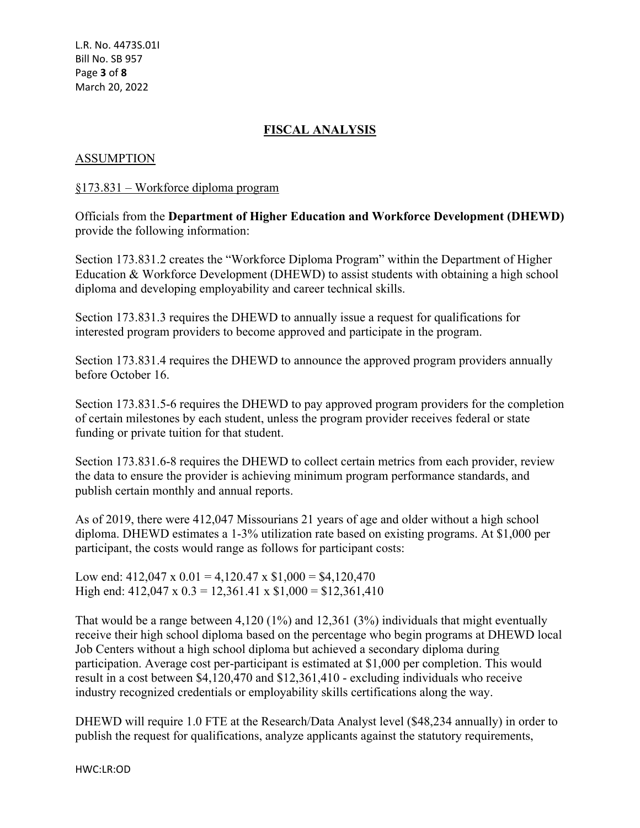# **FISCAL ANALYSIS**

## ASSUMPTION

## §173.831 – Workforce diploma program

Officials from the **Department of Higher Education and Workforce Development (DHEWD)** provide the following information:

Section 173.831.2 creates the "Workforce Diploma Program" within the Department of Higher Education & Workforce Development (DHEWD) to assist students with obtaining a high school diploma and developing employability and career technical skills.

Section 173.831.3 requires the DHEWD to annually issue a request for qualifications for interested program providers to become approved and participate in the program.

Section 173.831.4 requires the DHEWD to announce the approved program providers annually before October 16.

Section 173.831.5-6 requires the DHEWD to pay approved program providers for the completion of certain milestones by each student, unless the program provider receives federal or state funding or private tuition for that student.

Section 173.831.6-8 requires the DHEWD to collect certain metrics from each provider, review the data to ensure the provider is achieving minimum program performance standards, and publish certain monthly and annual reports.

As of 2019, there were 412,047 Missourians 21 years of age and older without a high school diploma. DHEWD estimates a 1-3% utilization rate based on existing programs. At \$1,000 per participant, the costs would range as follows for participant costs:

Low end:  $412,047 \times 0.01 = 4,120.47 \times $1,000 = $4,120,470$ High end:  $412,047 \times 0.3 = 12,361.41 \times \$1,000 = \$12,361,410$ 

That would be a range between 4,120 (1%) and 12,361 (3%) individuals that might eventually receive their high school diploma based on the percentage who begin programs at DHEWD local Job Centers without a high school diploma but achieved a secondary diploma during participation. Average cost per-participant is estimated at \$1,000 per completion. This would result in a cost between \$4,120,470 and \$12,361,410 - excluding individuals who receive industry recognized credentials or employability skills certifications along the way.

DHEWD will require 1.0 FTE at the Research/Data Analyst level (\$48,234 annually) in order to publish the request for qualifications, analyze applicants against the statutory requirements,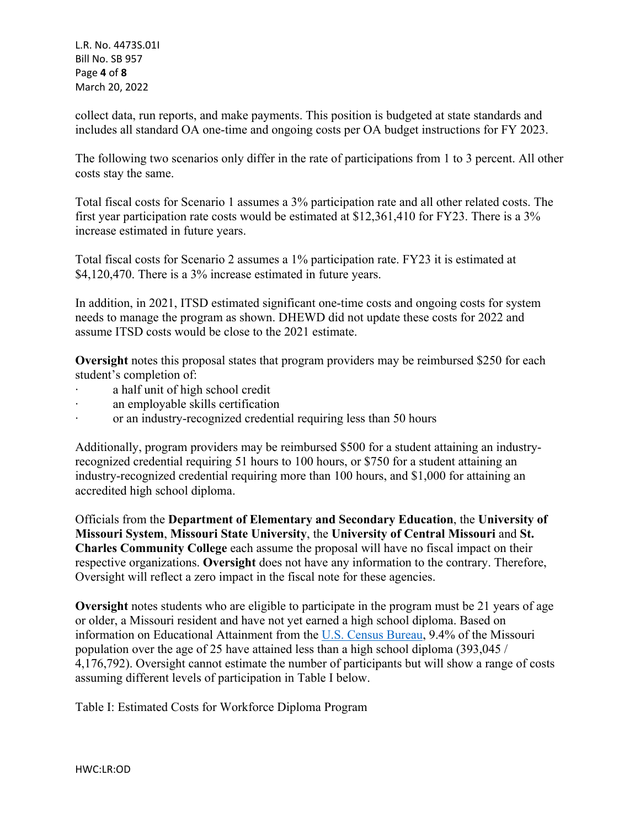L.R. No. 4473S.01I Bill No. SB 957 Page **4** of **8** March 20, 2022

collect data, run reports, and make payments. This position is budgeted at state standards and includes all standard OA one-time and ongoing costs per OA budget instructions for FY 2023.

The following two scenarios only differ in the rate of participations from 1 to 3 percent. All other costs stay the same.

Total fiscal costs for Scenario 1 assumes a 3% participation rate and all other related costs. The first year participation rate costs would be estimated at \$12,361,410 for FY23. There is a 3% increase estimated in future years.

Total fiscal costs for Scenario 2 assumes a 1% participation rate. FY23 it is estimated at \$4,120,470. There is a 3% increase estimated in future years.

In addition, in 2021, ITSD estimated significant one-time costs and ongoing costs for system needs to manage the program as shown. DHEWD did not update these costs for 2022 and assume ITSD costs would be close to the 2021 estimate.

**Oversight** notes this proposal states that program providers may be reimbursed \$250 for each student's completion of:

- ∙ a half unit of high school credit
- ∙ an employable skills certification
- ∙ or an industry-recognized credential requiring less than 50 hours

Additionally, program providers may be reimbursed \$500 for a student attaining an industryrecognized credential requiring 51 hours to 100 hours, or \$750 for a student attaining an industry-recognized credential requiring more than 100 hours, and \$1,000 for attaining an accredited high school diploma.

Officials from the **Department of Elementary and Secondary Education**, the **University of Missouri System**, **Missouri State University**, the **University of Central Missouri** and **St. Charles Community College** each assume the proposal will have no fiscal impact on their respective organizations. **Oversight** does not have any information to the contrary. Therefore, Oversight will reflect a zero impact in the fiscal note for these agencies.

**Oversight** notes students who are eligible to participate in the program must be 21 years of age or older, a Missouri resident and have not yet earned a high school diploma. Based on information on Educational Attainment from the [U.S. Census Bureau,](https://data.census.gov/cedsci/table?q=missouri%20education%20&g=0400000US29&tid=ACSST1Y2019.S1501&hidePreview=false) 9.4% of the Missouri population over the age of 25 have attained less than a high school diploma (393,045 / 4,176,792). Oversight cannot estimate the number of participants but will show a range of costs assuming different levels of participation in Table I below.

Table I: Estimated Costs for Workforce Diploma Program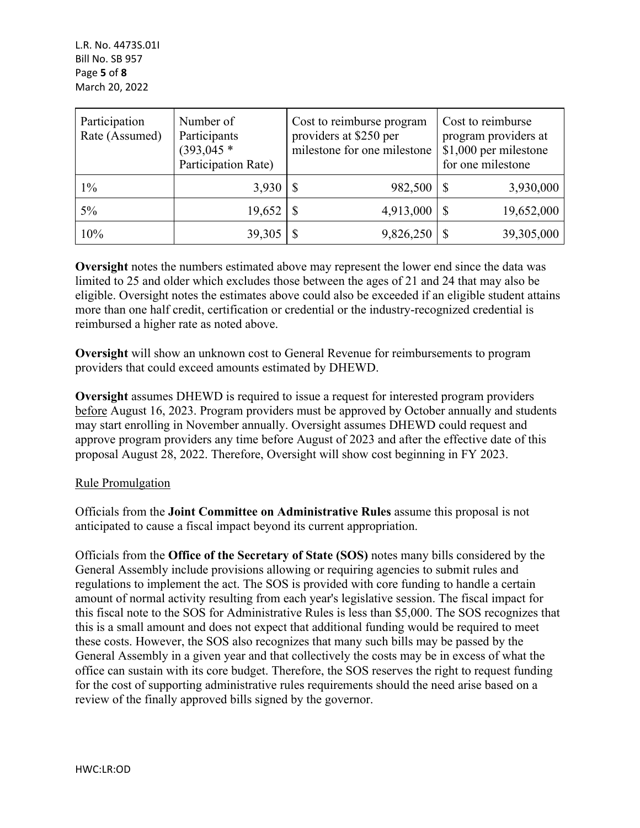| Participation<br>Rate (Assumed) | Number of<br>Participants<br>$(393, 045)^*$<br>Participation Rate) | Cost to reimburse program<br>providers at \$250 per<br>milestone for one milestone | Cost to reimburse<br>program providers at<br>\$1,000 per milestone<br>for one milestone |
|---------------------------------|--------------------------------------------------------------------|------------------------------------------------------------------------------------|-----------------------------------------------------------------------------------------|
| $1\%$                           | 3,930                                                              | 982,500                                                                            | 3,930,000                                                                               |
| $5\%$                           | 19,652                                                             | 4,913,000                                                                          | 19,652,000                                                                              |
| 10%                             | 39,305                                                             | 9,826,250                                                                          | 39,305,000                                                                              |

**Oversight** notes the numbers estimated above may represent the lower end since the data was limited to 25 and older which excludes those between the ages of 21 and 24 that may also be eligible. Oversight notes the estimates above could also be exceeded if an eligible student attains more than one half credit, certification or credential or the industry-recognized credential is reimbursed a higher rate as noted above.

**Oversight** will show an unknown cost to General Revenue for reimbursements to program providers that could exceed amounts estimated by DHEWD.

**Oversight** assumes DHEWD is required to issue a request for interested program providers before August 16, 2023. Program providers must be approved by October annually and students may start enrolling in November annually. Oversight assumes DHEWD could request and approve program providers any time before August of 2023 and after the effective date of this proposal August 28, 2022. Therefore, Oversight will show cost beginning in FY 2023.

# Rule Promulgation

Officials from the **Joint Committee on Administrative Rules** assume this proposal is not anticipated to cause a fiscal impact beyond its current appropriation.

Officials from the **Office of the Secretary of State (SOS)** notes many bills considered by the General Assembly include provisions allowing or requiring agencies to submit rules and regulations to implement the act. The SOS is provided with core funding to handle a certain amount of normal activity resulting from each year's legislative session. The fiscal impact for this fiscal note to the SOS for Administrative Rules is less than \$5,000. The SOS recognizes that this is a small amount and does not expect that additional funding would be required to meet these costs. However, the SOS also recognizes that many such bills may be passed by the General Assembly in a given year and that collectively the costs may be in excess of what the office can sustain with its core budget. Therefore, the SOS reserves the right to request funding for the cost of supporting administrative rules requirements should the need arise based on a review of the finally approved bills signed by the governor.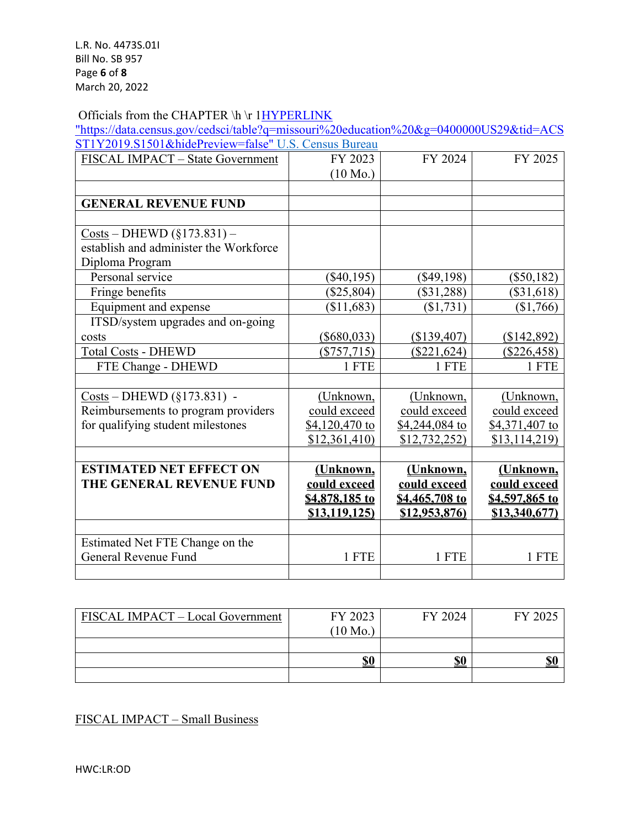#### Officials from the CHAPTER \h \r 1HYPERLINK

"https://data.census.gov/cedsci/table?q=missouri%20education%20&g=0400000US29&tid=ACS ST1Y2019.S1501&hidePreview=false" U.S. Census Bureau

| FISCAL IMPACT - State Government                                       | FY 2023            | FY 2024        | FY 2025        |
|------------------------------------------------------------------------|--------------------|----------------|----------------|
|                                                                        | $(10 \text{ Mo.})$ |                |                |
|                                                                        |                    |                |                |
| <b>GENERAL REVENUE FUND</b>                                            |                    |                |                |
|                                                                        |                    |                |                |
| $Costs - DHEWD (§173.831) -$<br>establish and administer the Workforce |                    |                |                |
|                                                                        |                    |                |                |
| Diploma Program                                                        |                    |                |                |
| Personal service                                                       | $(\$40,195)$       | $(\$49,198)$   | $(\$50,182)$   |
| Fringe benefits                                                        | $(\$25,804)$       | $(\$31,288)$   | $(\$31,618)$   |
| Equipment and expense                                                  | (\$11,683)         | (\$1,731)      | (\$1,766)      |
| ITSD/system upgrades and on-going                                      |                    |                |                |
| costs                                                                  | $(\$680,033)$      | (\$139,407)    | (\$142,892)    |
| <b>Total Costs - DHEWD</b>                                             | $(\$757,715)$      | $(\$221,624)$  | $(\$226,458)$  |
| FTE Change - DHEWD                                                     | 1 FTE              | 1 FTE          | 1 FTE          |
|                                                                        |                    |                |                |
| $Costs - DHEWD (§173.831) -$                                           | (Unknown,          | (Unknown,      | (Unknown,      |
| Reimbursements to program providers                                    | could exceed       | could exceed   | could exceed   |
| for qualifying student milestones                                      | \$4,120,470 to     | \$4,244,084 to | \$4,371,407 to |
|                                                                        | \$12,361,410       | \$12,732,252)  | \$13,114,219   |
|                                                                        |                    |                |                |
| <b>ESTIMATED NET EFFECT ON</b>                                         | (Unknown,          | (Unknown,      | (Unknown,      |
| THE GENERAL REVENUE FUND                                               | could exceed       | could exceed   | could exceed   |
|                                                                        | \$4,878,185 to     | \$4,465,708 to | \$4,597,865 to |
|                                                                        | \$13,119,125       | \$12,953,876)  | \$13,340,677   |
|                                                                        |                    |                |                |
| Estimated Net FTE Change on the                                        |                    |                |                |
| General Revenue Fund                                                   | 1 FTE              | 1 FTE          | 1 FTE          |
|                                                                        |                    |                |                |

| FISCAL IMPACT - Local Government | FY 2023<br>$(10 \text{ Mo.})$ | FY 2024 | FY 2025 |
|----------------------------------|-------------------------------|---------|---------|
|                                  |                               |         |         |
|                                  | \$0                           | \$0     | \$0     |
|                                  |                               |         |         |

FISCAL IMPACT – Small Business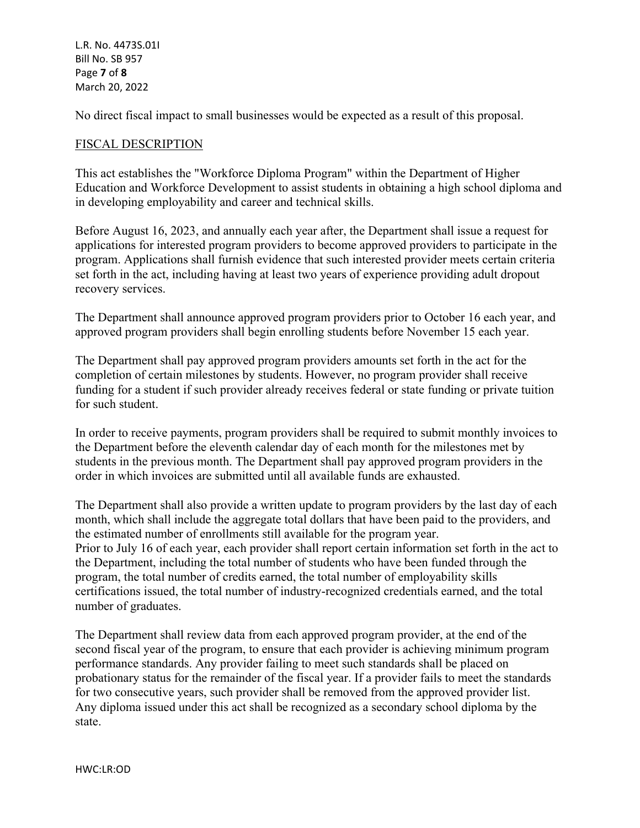L.R. No. 4473S.01I Bill No. SB 957 Page **7** of **8** March 20, 2022

No direct fiscal impact to small businesses would be expected as a result of this proposal.

#### FISCAL DESCRIPTION

This act establishes the "Workforce Diploma Program" within the Department of Higher Education and Workforce Development to assist students in obtaining a high school diploma and in developing employability and career and technical skills.

Before August 16, 2023, and annually each year after, the Department shall issue a request for applications for interested program providers to become approved providers to participate in the program. Applications shall furnish evidence that such interested provider meets certain criteria set forth in the act, including having at least two years of experience providing adult dropout recovery services.

The Department shall announce approved program providers prior to October 16 each year, and approved program providers shall begin enrolling students before November 15 each year.

The Department shall pay approved program providers amounts set forth in the act for the completion of certain milestones by students. However, no program provider shall receive funding for a student if such provider already receives federal or state funding or private tuition for such student.

In order to receive payments, program providers shall be required to submit monthly invoices to the Department before the eleventh calendar day of each month for the milestones met by students in the previous month. The Department shall pay approved program providers in the order in which invoices are submitted until all available funds are exhausted.

The Department shall also provide a written update to program providers by the last day of each month, which shall include the aggregate total dollars that have been paid to the providers, and the estimated number of enrollments still available for the program year. Prior to July 16 of each year, each provider shall report certain information set forth in the act to the Department, including the total number of students who have been funded through the program, the total number of credits earned, the total number of employability skills certifications issued, the total number of industry-recognized credentials earned, and the total number of graduates.

The Department shall review data from each approved program provider, at the end of the second fiscal year of the program, to ensure that each provider is achieving minimum program performance standards. Any provider failing to meet such standards shall be placed on probationary status for the remainder of the fiscal year. If a provider fails to meet the standards for two consecutive years, such provider shall be removed from the approved provider list. Any diploma issued under this act shall be recognized as a secondary school diploma by the state.